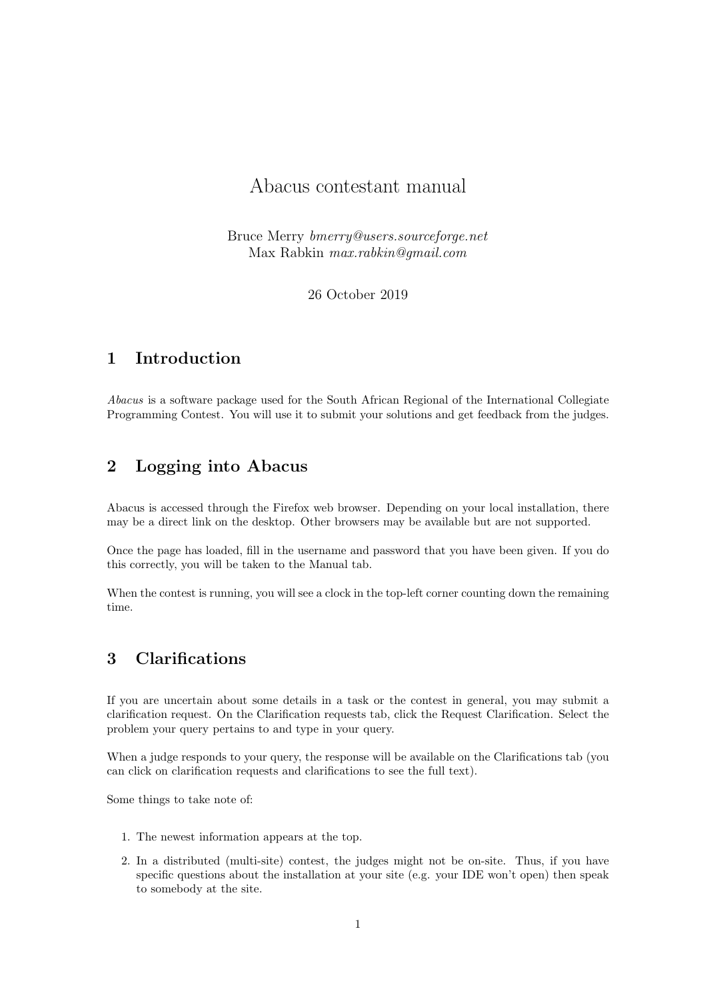# Abacus contestant manual

Bruce Merry bmerry@users.sourceforge.net Max Rabkin max.rabkin@gmail.com

26 October 2019

## 1 Introduction

Abacus is a software package used for the South African Regional of the International Collegiate Programming Contest. You will use it to submit your solutions and get feedback from the judges.

### 2 Logging into Abacus

Abacus is accessed through the Firefox web browser. Depending on your local installation, there may be a direct link on the desktop. Other browsers may be available but are not supported.

Once the page has loaded, fill in the username and password that you have been given. If you do this correctly, you will be taken to the Manual tab.

When the contest is running, you will see a clock in the top-left corner counting down the remaining time.

## 3 Clarifications

If you are uncertain about some details in a task or the contest in general, you may submit a clarification request. On the Clarification requests tab, click the Request Clarification. Select the problem your query pertains to and type in your query.

When a judge responds to your query, the response will be available on the Clarifications tab (you can click on clarification requests and clarifications to see the full text).

Some things to take note of:

- 1. The newest information appears at the top.
- 2. In a distributed (multi-site) contest, the judges might not be on-site. Thus, if you have specific questions about the installation at your site (e.g. your IDE won't open) then speak to somebody at the site.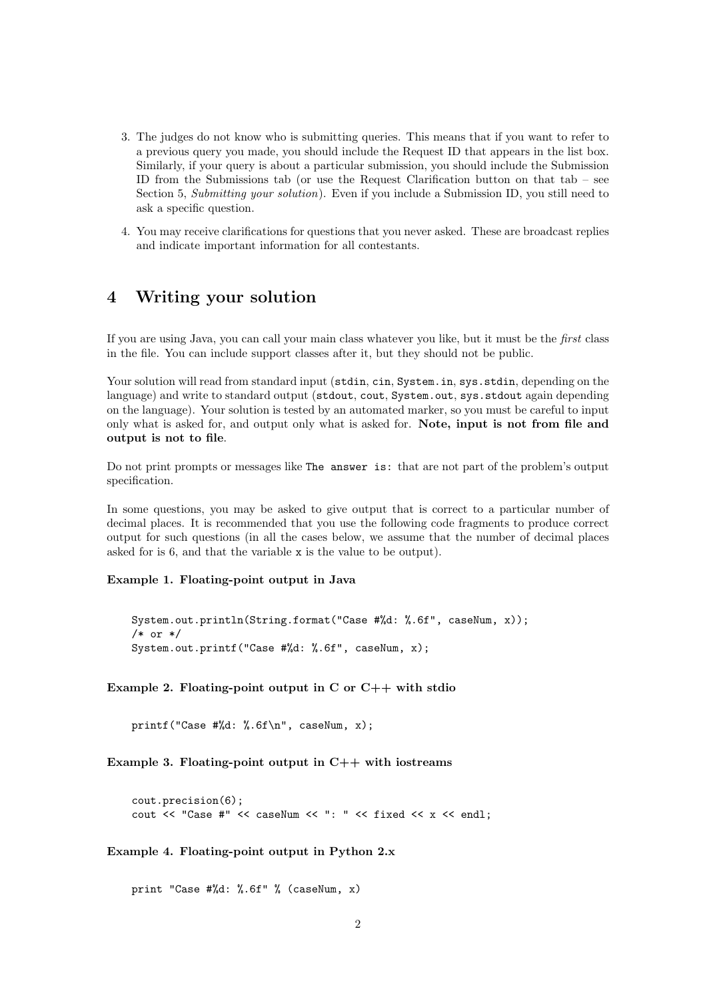- 3. The judges do not know who is submitting queries. This means that if you want to refer to a previous query you made, you should include the Request ID that appears in the list box. Similarly, if your query is about a particular submission, you should include the Submission ID from the Submissions tab (or use the Request Clarification button on that tab – see Section 5, Submitting your solution). Even if you include a Submission ID, you still need to ask a specific question.
- 4. You may receive clarifications for questions that you never asked. These are broadcast replies and indicate important information for all contestants.

### 4 Writing your solution

If you are using Java, you can call your main class whatever you like, but it must be the first class in the file. You can include support classes after it, but they should not be public.

Your solution will read from standard input (stdin, cin, System.in, sys.stdin, depending on the language) and write to standard output (stdout, cout, System.out, sys.stdout again depending on the language). Your solution is tested by an automated marker, so you must be careful to input only what is asked for, and output only what is asked for. Note, input is not from file and output is not to file.

Do not print prompts or messages like The answer is: that are not part of the problem's output specification.

In some questions, you may be asked to give output that is correct to a particular number of decimal places. It is recommended that you use the following code fragments to produce correct output for such questions (in all the cases below, we assume that the number of decimal places asked for is 6, and that the variable x is the value to be output).

Example 1. Floating-point output in Java

```
System.out.println(String.format("Case #%d: %.6f", caseNum, x));
/* or */
System.out.printf("Case #%d: %.6f", caseNum, x);
```
Example 2. Floating-point output in C or  $C++$  with stdio

printf("Case #%d: %.6f\n", caseNum, x);

Example 3. Floating-point output in  $C++$  with iostreams

cout.precision(6); cout  $\lt\lt$  "Case #"  $\lt\lt\lt$  caseNum  $\lt\lt$  ": "  $\lt\lt$  fixed  $\lt\lt\ltimes$   $x \lt\lt$  endl;

Example 4. Floating-point output in Python 2.x

print "Case #%d: %.6f" % (caseNum, x)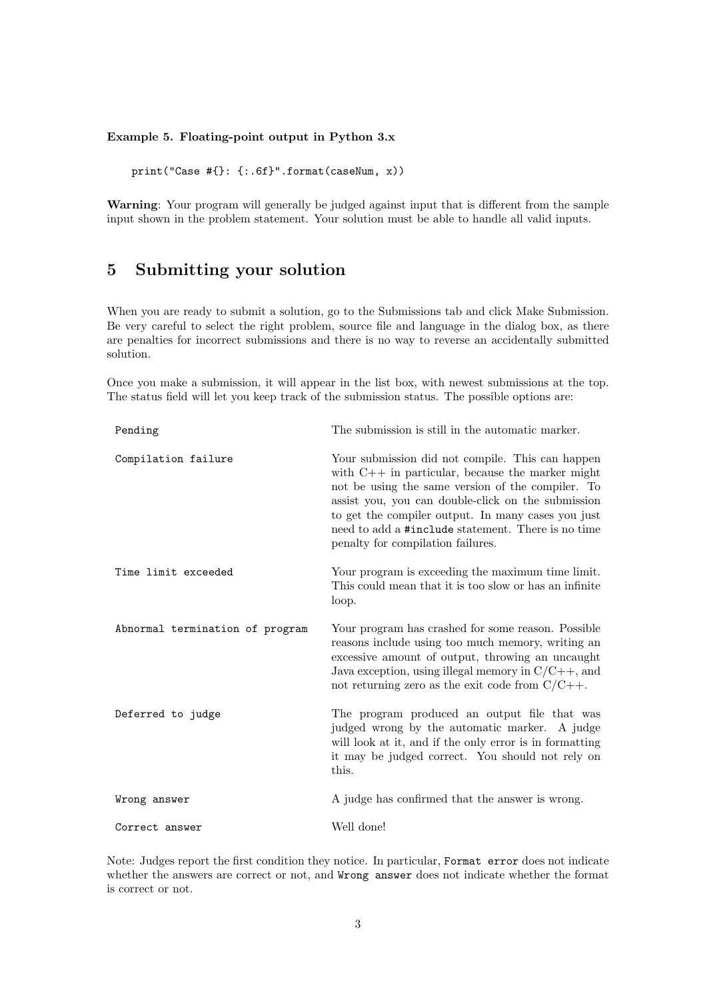#### Example 5. Floating-point output in Python 3.x

print("Case #{}: {:.6f}".format(caseNum, x))

Warning: Your program will generally be judged against input that is different from the sample input shown in the problem statement. Your solution must be able to handle all valid inputs.

## 5 Submitting your solution

When you are ready to submit a solution, go to the Submissions tab and click Make Submission. Be very careful to select the right problem, source file and language in the dialog box, as there are penalties for incorrect submissions and there is no way to reverse an accidentally submitted solution.

Once you make a submission, it will appear in the list box, with newest submissions at the top. The status field will let you keep track of the submission status. The possible options are:

| Pending                         | The submission is still in the automatic marker.                                                                                                                                                                                                                                                                                                                   |
|---------------------------------|--------------------------------------------------------------------------------------------------------------------------------------------------------------------------------------------------------------------------------------------------------------------------------------------------------------------------------------------------------------------|
| Compilation failure             | Your submission did not compile. This can happen<br>with $C++$ in particular, because the marker might<br>not be using the same version of the compiler. To<br>assist you, you can double-click on the submission<br>to get the compiler output. In many cases you just<br>need to add a #include statement. There is no time<br>penalty for compilation failures. |
| Time limit exceeded             | Your program is exceeding the maximum time limit.<br>This could mean that it is too slow or has an infinite<br>loop.                                                                                                                                                                                                                                               |
| Abnormal termination of program | Your program has crashed for some reason. Possible<br>reasons include using too much memory, writing an<br>excessive amount of output, throwing an uncaught<br>Java exception, using illegal memory in $C/C++$ , and<br>not returning zero as the exit code from $C/C++$ .                                                                                         |
| Deferred to judge               | The program produced an output file that was<br>judged wrong by the automatic marker. A judge<br>will look at it, and if the only error is in formatting<br>it may be judged correct. You should not rely on<br>this.                                                                                                                                              |
| Wrong answer                    | A judge has confirmed that the answer is wrong.                                                                                                                                                                                                                                                                                                                    |
| Correct answer                  | Well done!                                                                                                                                                                                                                                                                                                                                                         |

Note: Judges report the first condition they notice. In particular, Format error does not indicate whether the answers are correct or not, and Wrong answer does not indicate whether the format is correct or not.